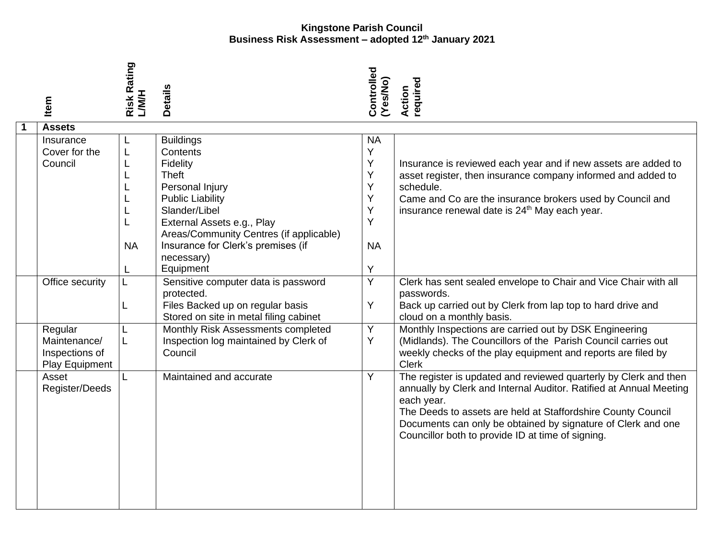| Item                                                         | <b>Risk Rating</b><br><b>H/M/T</b> | <b>Details</b>                                                                                                                                                                                                                                | Controlled<br>(Yes/No)                                    | required<br>Action                                                                                                                                                                                                                                                                                                                                                   |
|--------------------------------------------------------------|------------------------------------|-----------------------------------------------------------------------------------------------------------------------------------------------------------------------------------------------------------------------------------------------|-----------------------------------------------------------|----------------------------------------------------------------------------------------------------------------------------------------------------------------------------------------------------------------------------------------------------------------------------------------------------------------------------------------------------------------------|
| <b>Assets</b>                                                |                                    |                                                                                                                                                                                                                                               |                                                           |                                                                                                                                                                                                                                                                                                                                                                      |
| Insurance<br>Cover for the<br>Council                        | L<br><b>NA</b>                     | <b>Buildings</b><br>Contents<br>Fidelity<br>Theft<br>Personal Injury<br><b>Public Liability</b><br>Slander/Libel<br>External Assets e.g., Play<br>Areas/Community Centres (if applicable)<br>Insurance for Clerk's premises (if<br>necessary) | <b>NA</b><br>Υ<br>Υ<br>Υ<br>Y<br>Υ<br>Υ<br>Y<br><b>NA</b> | Insurance is reviewed each year and if new assets are added to<br>asset register, then insurance company informed and added to<br>schedule.<br>Came and Co are the insurance brokers used by Council and<br>insurance renewal date is 24 <sup>th</sup> May each year.                                                                                                |
|                                                              |                                    | Equipment                                                                                                                                                                                                                                     | Y                                                         |                                                                                                                                                                                                                                                                                                                                                                      |
| Office security<br>Regular<br>Maintenance/<br>Inspections of | L.<br>L<br>L<br>L                  | Sensitive computer data is password<br>protected.<br>Files Backed up on regular basis<br>Stored on site in metal filing cabinet<br>Monthly Risk Assessments completed<br>Inspection log maintained by Clerk of<br>Council                     | Y<br>Υ<br>Υ<br>Y                                          | Clerk has sent sealed envelope to Chair and Vice Chair with all<br>passwords.<br>Back up carried out by Clerk from lap top to hard drive and<br>cloud on a monthly basis.<br>Monthly Inspections are carried out by DSK Engineering<br>(Midlands). The Councillors of the Parish Council carries out<br>weekly checks of the play equipment and reports are filed by |
| Play Equipment<br>Asset<br>Register/Deeds                    | L                                  | Maintained and accurate                                                                                                                                                                                                                       | Y                                                         | <b>Clerk</b><br>The register is updated and reviewed quarterly by Clerk and then<br>annually by Clerk and Internal Auditor. Ratified at Annual Meeting<br>each year.<br>The Deeds to assets are held at Staffordshire County Council<br>Documents can only be obtained by signature of Clerk and one<br>Councillor both to provide ID at time of signing.            |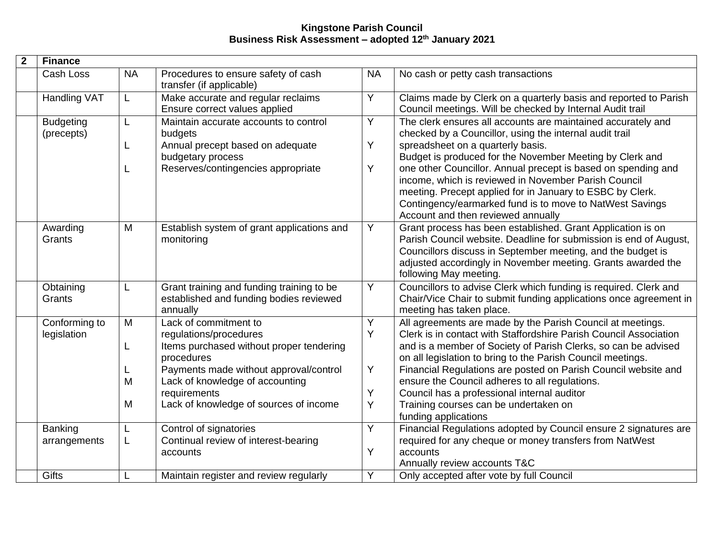| $\mathbf 2$ | <b>Finance</b>                 |                  |                                                                                                                                                                                                                                                  |                       |                                                                                                                                                                                                                                                                                                                                                                                                                                                                                                                  |
|-------------|--------------------------------|------------------|--------------------------------------------------------------------------------------------------------------------------------------------------------------------------------------------------------------------------------------------------|-----------------------|------------------------------------------------------------------------------------------------------------------------------------------------------------------------------------------------------------------------------------------------------------------------------------------------------------------------------------------------------------------------------------------------------------------------------------------------------------------------------------------------------------------|
|             | Cash Loss                      | <b>NA</b>        | Procedures to ensure safety of cash<br>transfer (if applicable)                                                                                                                                                                                  | <b>NA</b>             | No cash or petty cash transactions                                                                                                                                                                                                                                                                                                                                                                                                                                                                               |
|             | <b>Handling VAT</b>            | L                | Make accurate and regular reclaims<br>Ensure correct values applied                                                                                                                                                                              | Y                     | Claims made by Clerk on a quarterly basis and reported to Parish<br>Council meetings. Will be checked by Internal Audit trail                                                                                                                                                                                                                                                                                                                                                                                    |
|             | <b>Budgeting</b><br>(precepts) | L<br>L           | Maintain accurate accounts to control<br>budgets<br>Annual precept based on adequate<br>budgetary process<br>Reserves/contingencies appropriate                                                                                                  | Y<br>Y<br>Y           | The clerk ensures all accounts are maintained accurately and<br>checked by a Councillor, using the internal audit trail<br>spreadsheet on a quarterly basis.<br>Budget is produced for the November Meeting by Clerk and<br>one other Councillor. Annual precept is based on spending and<br>income, which is reviewed in November Parish Council<br>meeting. Precept applied for in January to ESBC by Clerk.<br>Contingency/earmarked fund is to move to NatWest Savings<br>Account and then reviewed annually |
|             | Awarding<br>Grants             | M                | Establish system of grant applications and<br>monitoring                                                                                                                                                                                         | Y                     | Grant process has been established. Grant Application is on<br>Parish Council website. Deadline for submission is end of August,<br>Councillors discuss in September meeting, and the budget is<br>adjusted accordingly in November meeting. Grants awarded the<br>following May meeting.                                                                                                                                                                                                                        |
|             | Obtaining<br>Grants            | L                | Grant training and funding training to be<br>established and funding bodies reviewed<br>annually                                                                                                                                                 | Y                     | Councillors to advise Clerk which funding is required. Clerk and<br>Chair/Vice Chair to submit funding applications once agreement in<br>meeting has taken place.                                                                                                                                                                                                                                                                                                                                                |
|             | Conforming to<br>legislation   | M<br>L<br>M<br>M | Lack of commitment to<br>regulations/procedures<br>Items purchased without proper tendering<br>procedures<br>Payments made without approval/control<br>Lack of knowledge of accounting<br>requirements<br>Lack of knowledge of sources of income | Υ<br>Y<br>Y<br>Υ<br>Y | All agreements are made by the Parish Council at meetings.<br>Clerk is in contact with Staffordshire Parish Council Association<br>and is a member of Society of Parish Clerks, so can be advised<br>on all legislation to bring to the Parish Council meetings.<br>Financial Regulations are posted on Parish Council website and<br>ensure the Council adheres to all regulations.<br>Council has a professional internal auditor<br>Training courses can be undertaken on<br>funding applications             |
|             | <b>Banking</b><br>arrangements | L<br>L           | Control of signatories<br>Continual review of interest-bearing<br>accounts                                                                                                                                                                       | Y<br>Y                | Financial Regulations adopted by Council ensure 2 signatures are<br>required for any cheque or money transfers from NatWest<br>accounts<br>Annually review accounts T&C                                                                                                                                                                                                                                                                                                                                          |
|             | <b>Gifts</b>                   | L                | Maintain register and review regularly                                                                                                                                                                                                           | Y                     | Only accepted after vote by full Council                                                                                                                                                                                                                                                                                                                                                                                                                                                                         |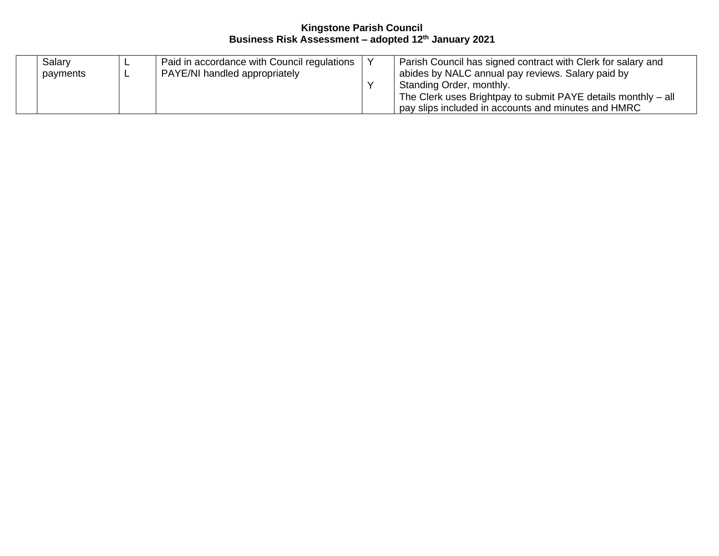| Salary<br>payments |  | Paid in accordance with Council regulations<br>PAYE/NI handled appropriately |  | Parish Council has signed contract with Clerk for salary and<br>abides by NALC annual pay reviews. Salary paid by<br>Standing Order, monthly.<br>The Clerk uses Brightpay to submit PAYE details monthly - all<br>pay slips included in accounts and minutes and HMRC |
|--------------------|--|------------------------------------------------------------------------------|--|-----------------------------------------------------------------------------------------------------------------------------------------------------------------------------------------------------------------------------------------------------------------------|
|--------------------|--|------------------------------------------------------------------------------|--|-----------------------------------------------------------------------------------------------------------------------------------------------------------------------------------------------------------------------------------------------------------------------|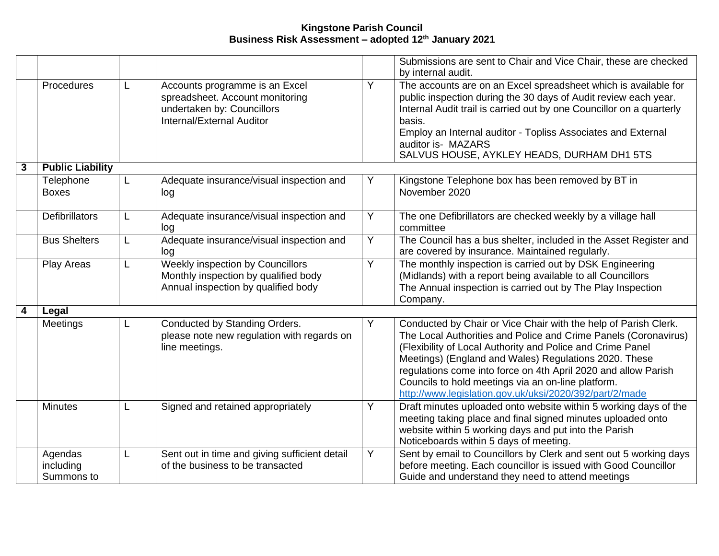|   |                                    |    |                                                                                                                              |   | Submissions are sent to Chair and Vice Chair, these are checked<br>by internal audit.                                                                                                                                                                                                                                                                                                                                                        |
|---|------------------------------------|----|------------------------------------------------------------------------------------------------------------------------------|---|----------------------------------------------------------------------------------------------------------------------------------------------------------------------------------------------------------------------------------------------------------------------------------------------------------------------------------------------------------------------------------------------------------------------------------------------|
|   | Procedures                         | L  | Accounts programme is an Excel<br>spreadsheet. Account monitoring<br>undertaken by: Councillors<br>Internal/External Auditor | Y | The accounts are on an Excel spreadsheet which is available for<br>public inspection during the 30 days of Audit review each year.<br>Internal Audit trail is carried out by one Councillor on a quarterly<br>basis.<br>Employ an Internal auditor - Topliss Associates and External<br>auditor is- MAZARS<br>SALVUS HOUSE, AYKLEY HEADS, DURHAM DH1 5TS                                                                                     |
| 3 | <b>Public Liability</b>            |    |                                                                                                                              |   |                                                                                                                                                                                                                                                                                                                                                                                                                                              |
|   | Telephone<br><b>Boxes</b>          | L. | Adequate insurance/visual inspection and<br>log                                                                              | Υ | Kingstone Telephone box has been removed by BT in<br>November 2020                                                                                                                                                                                                                                                                                                                                                                           |
|   | <b>Defibrillators</b>              | L. | Adequate insurance/visual inspection and<br>log                                                                              | Υ | The one Defibrillators are checked weekly by a village hall<br>committee                                                                                                                                                                                                                                                                                                                                                                     |
|   | <b>Bus Shelters</b>                | L. | Adequate insurance/visual inspection and<br>log                                                                              | Υ | The Council has a bus shelter, included in the Asset Register and<br>are covered by insurance. Maintained regularly.                                                                                                                                                                                                                                                                                                                         |
|   | Play Areas                         | L  | <b>Weekly inspection by Councillors</b><br>Monthly inspection by qualified body<br>Annual inspection by qualified body       | Y | The monthly inspection is carried out by DSK Engineering<br>(Midlands) with a report being available to all Councillors<br>The Annual inspection is carried out by The Play Inspection<br>Company.                                                                                                                                                                                                                                           |
| 4 | Legal                              |    |                                                                                                                              |   |                                                                                                                                                                                                                                                                                                                                                                                                                                              |
|   | Meetings                           |    | Conducted by Standing Orders.<br>please note new regulation with regards on<br>line meetings.                                |   | Conducted by Chair or Vice Chair with the help of Parish Clerk.<br>The Local Authorities and Police and Crime Panels (Coronavirus)<br>(Flexibility of Local Authority and Police and Crime Panel<br>Meetings) (England and Wales) Regulations 2020. These<br>regulations come into force on 4th April 2020 and allow Parish<br>Councils to hold meetings via an on-line platform.<br>http://www.legislation.gov.uk/uksi/2020/392/part/2/made |
|   | <b>Minutes</b>                     | L  | Signed and retained appropriately                                                                                            | Υ | Draft minutes uploaded onto website within 5 working days of the<br>meeting taking place and final signed minutes uploaded onto<br>website within 5 working days and put into the Parish<br>Noticeboards within 5 days of meeting.                                                                                                                                                                                                           |
|   | Agendas<br>including<br>Summons to | L  | Sent out in time and giving sufficient detail<br>of the business to be transacted                                            | Y | Sent by email to Councillors by Clerk and sent out 5 working days<br>before meeting. Each councillor is issued with Good Councillor<br>Guide and understand they need to attend meetings                                                                                                                                                                                                                                                     |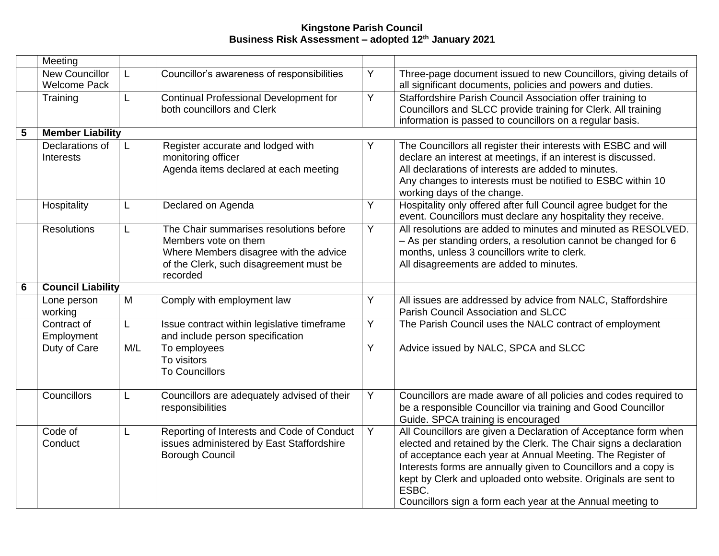|   | Meeting                               |     |                                                                                                                                                                  |                |                                                                                                                                                                                                                                                                                                                                                                                                               |
|---|---------------------------------------|-----|------------------------------------------------------------------------------------------------------------------------------------------------------------------|----------------|---------------------------------------------------------------------------------------------------------------------------------------------------------------------------------------------------------------------------------------------------------------------------------------------------------------------------------------------------------------------------------------------------------------|
|   | New Councillor<br><b>Welcome Pack</b> | L   | Councillor's awareness of responsibilities                                                                                                                       | Y              | Three-page document issued to new Councillors, giving details of<br>all significant documents, policies and powers and duties.                                                                                                                                                                                                                                                                                |
|   | Training                              | L   | Continual Professional Development for<br>both councillors and Clerk                                                                                             | Y              | Staffordshire Parish Council Association offer training to<br>Councillors and SLCC provide training for Clerk. All training<br>information is passed to councillors on a regular basis.                                                                                                                                                                                                                       |
| 5 | <b>Member Liability</b>               |     |                                                                                                                                                                  |                |                                                                                                                                                                                                                                                                                                                                                                                                               |
|   | Declarations of<br>Interests          | L   | Register accurate and lodged with<br>monitoring officer<br>Agenda items declared at each meeting                                                                 | Υ              | The Councillors all register their interests with ESBC and will<br>declare an interest at meetings, if an interest is discussed.<br>All declarations of interests are added to minutes.<br>Any changes to interests must be notified to ESBC within 10<br>working days of the change.                                                                                                                         |
|   | Hospitality                           | L   | Declared on Agenda                                                                                                                                               | Y              | Hospitality only offered after full Council agree budget for the<br>event. Councillors must declare any hospitality they receive.                                                                                                                                                                                                                                                                             |
|   | <b>Resolutions</b>                    | L   | The Chair summarises resolutions before<br>Members vote on them<br>Where Members disagree with the advice<br>of the Clerk, such disagreement must be<br>recorded | $\overline{Y}$ | All resolutions are added to minutes and minuted as RESOLVED.<br>- As per standing orders, a resolution cannot be changed for 6<br>months, unless 3 councillors write to clerk.<br>All disagreements are added to minutes.                                                                                                                                                                                    |
| 6 | <b>Council Liability</b>              |     |                                                                                                                                                                  |                |                                                                                                                                                                                                                                                                                                                                                                                                               |
|   | Lone person<br>working                | M   | Comply with employment law                                                                                                                                       | Y              | All issues are addressed by advice from NALC, Staffordshire<br>Parish Council Association and SLCC                                                                                                                                                                                                                                                                                                            |
|   | Contract of<br>Employment             | L   | Issue contract within legislative timeframe<br>and include person specification                                                                                  | Y              | The Parish Council uses the NALC contract of employment                                                                                                                                                                                                                                                                                                                                                       |
|   | Duty of Care                          | M/L | To employees<br>To visitors<br><b>To Councillors</b>                                                                                                             | Y              | Advice issued by NALC, SPCA and SLCC                                                                                                                                                                                                                                                                                                                                                                          |
|   | Councillors                           | L   | Councillors are adequately advised of their<br>responsibilities                                                                                                  | Y              | Councillors are made aware of all policies and codes required to<br>be a responsible Councillor via training and Good Councillor<br>Guide. SPCA training is encouraged                                                                                                                                                                                                                                        |
|   | Code of<br>Conduct                    | L   | Reporting of Interests and Code of Conduct<br>issues administered by East Staffordshire<br><b>Borough Council</b>                                                | Y              | All Councillors are given a Declaration of Acceptance form when<br>elected and retained by the Clerk. The Chair signs a declaration<br>of acceptance each year at Annual Meeting. The Register of<br>Interests forms are annually given to Councillors and a copy is<br>kept by Clerk and uploaded onto website. Originals are sent to<br>ESBC.<br>Councillors sign a form each year at the Annual meeting to |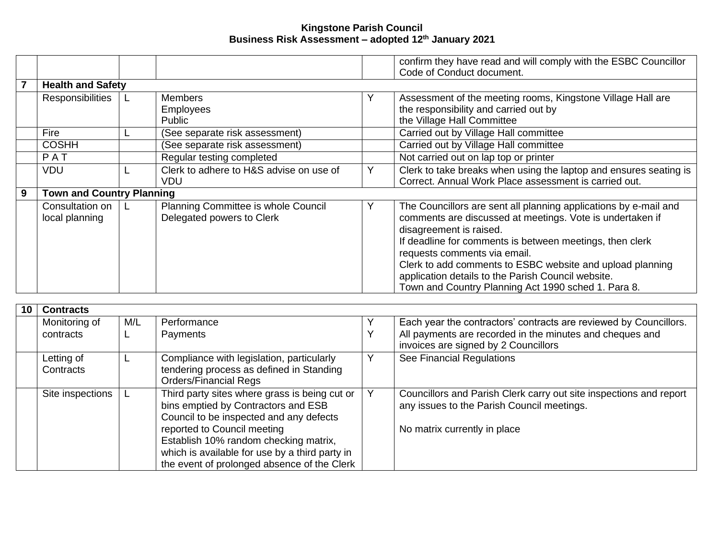|   |                                  |    |                                         |   | confirm they have read and will comply with the ESBC Councillor<br>Code of Conduct document. |
|---|----------------------------------|----|-----------------------------------------|---|----------------------------------------------------------------------------------------------|
|   | <b>Health and Safety</b>         |    |                                         |   |                                                                                              |
|   | Responsibilities                 |    | <b>Members</b>                          | Y | Assessment of the meeting rooms, Kingstone Village Hall are                                  |
|   |                                  |    | <b>Employees</b>                        |   | the responsibility and carried out by                                                        |
|   |                                  |    | Public                                  |   | the Village Hall Committee                                                                   |
|   | Fire                             |    | (See separate risk assessment)          |   | Carried out by Village Hall committee                                                        |
|   | <b>COSHH</b>                     |    | (See separate risk assessment)          |   | Carried out by Village Hall committee                                                        |
|   | PAT                              |    | Regular testing completed               |   | Not carried out on lap top or printer                                                        |
|   | <b>VDU</b>                       |    | Clerk to adhere to H&S advise on use of | Y | Clerk to take breaks when using the laptop and ensures seating is                            |
|   |                                  |    | VDU.                                    |   | Correct. Annual Work Place assessment is carried out.                                        |
| 9 | <b>Town and Country Planning</b> |    |                                         |   |                                                                                              |
|   | Consultation on                  | L. | Planning Committee is whole Council     | Υ | The Councillors are sent all planning applications by e-mail and                             |
|   | local planning                   |    | Delegated powers to Clerk               |   | comments are discussed at meetings. Vote is undertaken if<br>disagreement is raised.         |
|   |                                  |    |                                         |   | If deadline for comments is between meetings, then clerk                                     |
|   |                                  |    |                                         |   | requests comments via email.                                                                 |
|   |                                  |    |                                         |   | Clerk to add comments to ESBC website and upload planning                                    |
|   |                                  |    |                                         |   | application details to the Parish Council website.                                           |
|   |                                  |    |                                         |   | Town and Country Planning Act 1990 sched 1. Para 8.                                          |

| <b>Contracts</b>        |     |                                                                                                                                                                                                                                                                                                          |  |                                                                                                                                                  |  |  |  |
|-------------------------|-----|----------------------------------------------------------------------------------------------------------------------------------------------------------------------------------------------------------------------------------------------------------------------------------------------------------|--|--------------------------------------------------------------------------------------------------------------------------------------------------|--|--|--|
| Monitoring of           | M/L | Performance                                                                                                                                                                                                                                                                                              |  | Each year the contractors' contracts are reviewed by Councillors.                                                                                |  |  |  |
| contracts               |     | Payments                                                                                                                                                                                                                                                                                                 |  | All payments are recorded in the minutes and cheques and<br>invoices are signed by 2 Councillors                                                 |  |  |  |
| Letting of<br>Contracts |     | Compliance with legislation, particularly<br>tendering process as defined in Standing<br><b>Orders/Financial Regs</b>                                                                                                                                                                                    |  | See Financial Regulations                                                                                                                        |  |  |  |
| Site inspections        |     | Third party sites where grass is being cut or<br>bins emptied by Contractors and ESB<br>Council to be inspected and any defects<br>reported to Council meeting<br>Establish 10% random checking matrix,<br>which is available for use by a third party in<br>the event of prolonged absence of the Clerk |  | Councillors and Parish Clerk carry out site inspections and report<br>any issues to the Parish Council meetings.<br>No matrix currently in place |  |  |  |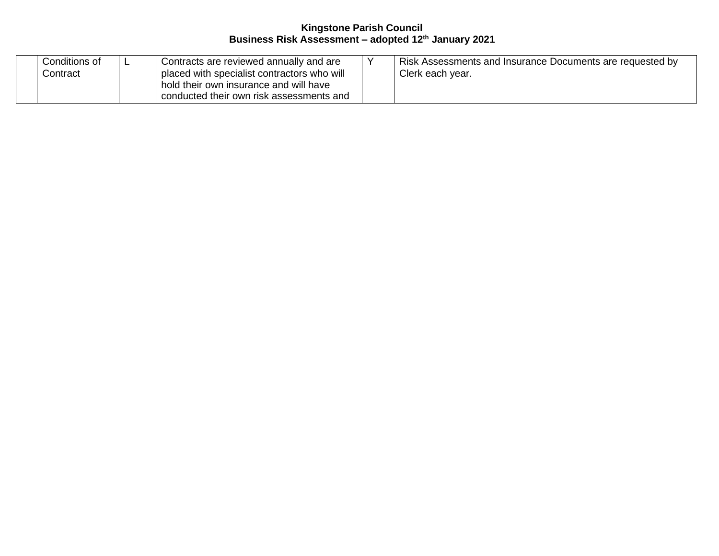| Conditions of | - | Contracts are reviewed annually and are     | Risk Assessments and Insurance Documents are requested by |
|---------------|---|---------------------------------------------|-----------------------------------------------------------|
| Contract∴     |   | placed with specialist contractors who will | Clerk each year.                                          |
|               |   | I hold their own insurance and will have    |                                                           |
|               |   | conducted their own risk assessments and    |                                                           |